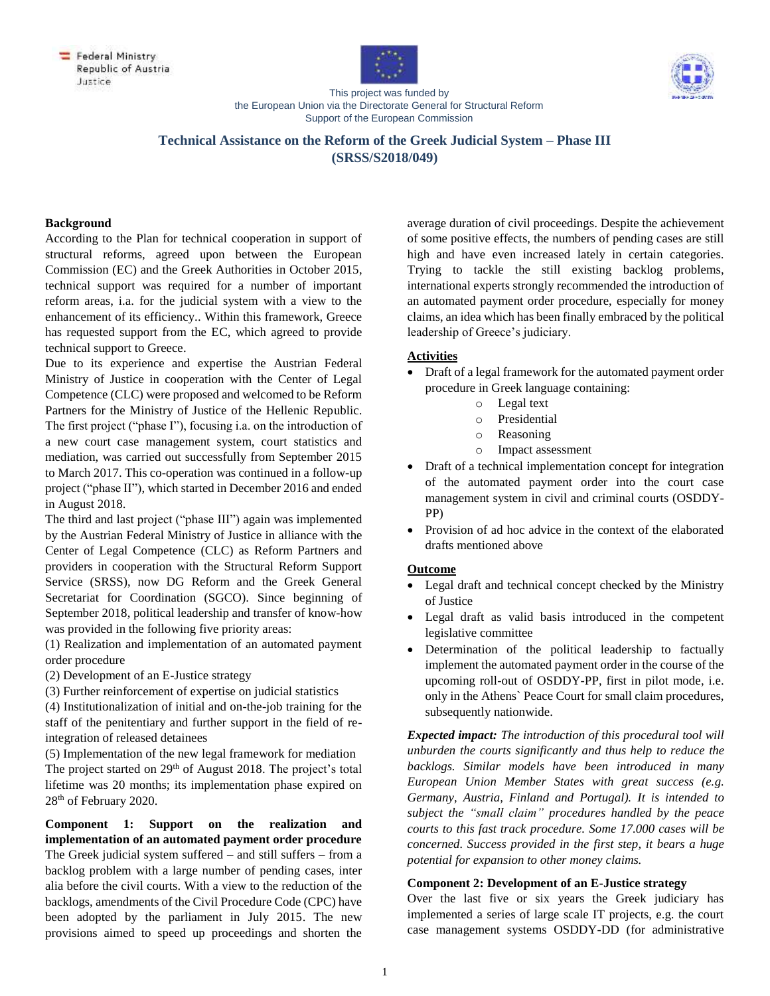





This project was funded by the European Union via the Directorate General for Structural Reform Support of the European Commission

# **Technical Assistance on the Reform of the Greek Judicial System – Phase III (SRSS/S2018/049)**

#### **Background**

According to the Plan for technical cooperation in support of structural reforms, agreed upon between the European Commission (EC) and the Greek Authorities in October 2015, technical support was required for a number of important reform areas, i.a. for the judicial system with a view to the enhancement of its efficiency.. Within this framework, Greece has requested support from the EC, which agreed to provide technical support to Greece.

Due to its experience and expertise the Austrian Federal Ministry of Justice in cooperation with the Center of Legal Competence (CLC) were proposed and welcomed to be Reform Partners for the Ministry of Justice of the Hellenic Republic. The first project ("phase I"), focusing i.a. on the introduction of a new court case management system, court statistics and mediation, was carried out successfully from September 2015 to March 2017. This co-operation was continued in a follow-up project ("phase II"), which started in December 2016 and ended in August 2018.

The third and last project ("phase III") again was implemented by the Austrian Federal Ministry of Justice in alliance with the Center of Legal Competence (CLC) as Reform Partners and providers in cooperation with the Structural Reform Support Service (SRSS), now DG Reform and the Greek General Secretariat for Coordination (SGCO). Since beginning of September 2018, political leadership and transfer of know-how was provided in the following five priority areas:

(1) Realization and implementation of an automated payment order procedure

(2) Development of an E-Justice strategy

(3) Further reinforcement of expertise on judicial statistics

(4) Institutionalization of initial and on-the-job training for the staff of the penitentiary and further support in the field of reintegration of released detainees

(5) Implementation of the new legal framework for mediation The project started on  $29<sup>th</sup>$  of August 2018. The project's total lifetime was 20 months; its implementation phase expired on 28<sup>th</sup> of February 2020.

**Component 1: Support on the realization and implementation of an automated payment order procedure** The Greek judicial system suffered – and still suffers – from a backlog problem with a large number of pending cases, inter alia before the civil courts. With a view to the reduction of the backlogs, amendments of the Civil Procedure Code (CPC) have been adopted by the parliament in July 2015. The new provisions aimed to speed up proceedings and shorten the average duration of civil proceedings. Despite the achievement of some positive effects, the numbers of pending cases are still high and have even increased lately in certain categories. Trying to tackle the still existing backlog problems, international experts strongly recommended the introduction of an automated payment order procedure, especially for money claims, an idea which has been finally embraced by the political leadership of Greece's judiciary.

## **Activities**

- Draft of a legal framework for the automated payment order procedure in Greek language containing:
	- o Legal text
	- o Presidential
	- o Reasoning
	- o Impact assessment
- Draft of a technical implementation concept for integration of the automated payment order into the court case management system in civil and criminal courts (OSDDY-PP)
- Provision of ad hoc advice in the context of the elaborated drafts mentioned above

#### **Outcome**

- Legal draft and technical concept checked by the Ministry of Justice
- Legal draft as valid basis introduced in the competent legislative committee
- Determination of the political leadership to factually implement the automated payment order in the course of the upcoming roll-out of OSDDY-PP, first in pilot mode, i.e. only in the Athens` Peace Court for small claim procedures, subsequently nationwide.

*Expected impact: The introduction of this procedural tool will unburden the courts significantly and thus help to reduce the backlogs. Similar models have been introduced in many European Union Member States with great success (e.g. Germany, Austria, Finland and Portugal). It is intended to subject the "small claim" procedures handled by the peace courts to this fast track procedure. Some 17.000 cases will be concerned. Success provided in the first step, it bears a huge potential for expansion to other money claims.*

#### **Component 2: Development of an E-Justice strategy**

Over the last five or six years the Greek judiciary has implemented a series of large scale IT projects, e.g. the court case management systems OSDDY-DD (for administrative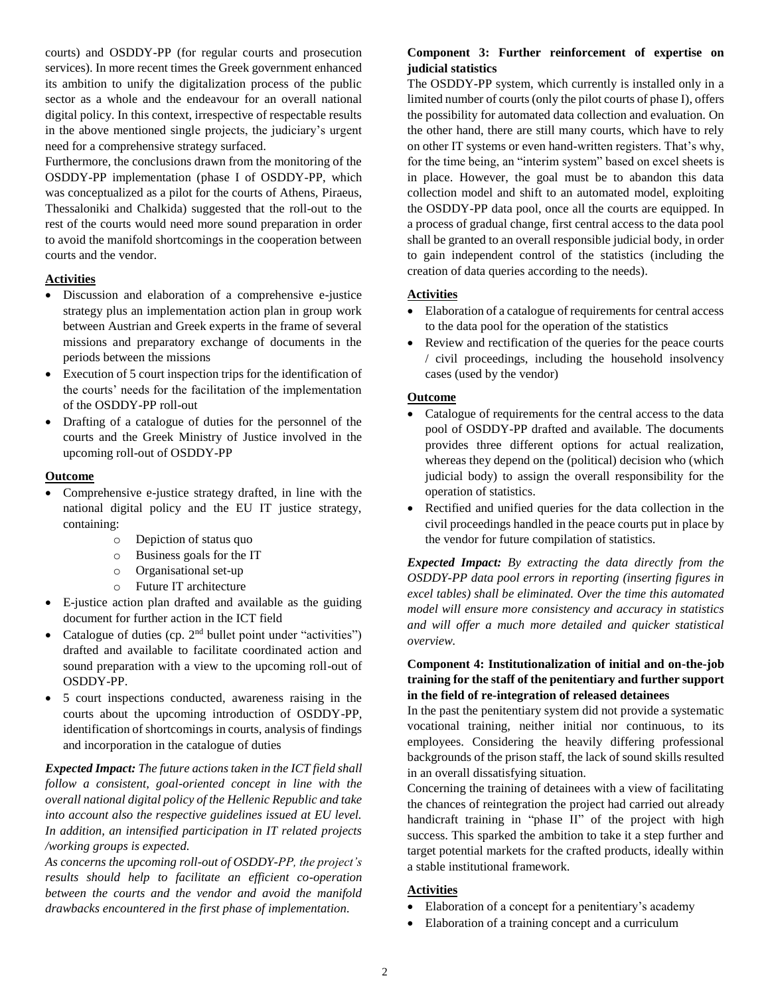courts) and OSDDY-PP (for regular courts and prosecution services). In more recent times the Greek government enhanced its ambition to unify the digitalization process of the public sector as a whole and the endeavour for an overall national digital policy. In this context, irrespective of respectable results in the above mentioned single projects, the judiciary's urgent need for a comprehensive strategy surfaced.

Furthermore, the conclusions drawn from the monitoring of the OSDDY-PP implementation (phase I of OSDDY-PP, which was conceptualized as a pilot for the courts of Athens, Piraeus, Thessaloniki and Chalkida) suggested that the roll-out to the rest of the courts would need more sound preparation in order to avoid the manifold shortcomings in the cooperation between courts and the vendor.

### **Activities**

- Discussion and elaboration of a comprehensive e-justice strategy plus an implementation action plan in group work between Austrian and Greek experts in the frame of several missions and preparatory exchange of documents in the periods between the missions
- Execution of 5 court inspection trips for the identification of the courts' needs for the facilitation of the implementation of the OSDDY-PP roll-out
- Drafting of a catalogue of duties for the personnel of the courts and the Greek Ministry of Justice involved in the upcoming roll-out of OSDDY-PP

### **Outcome**

- Comprehensive e-justice strategy drafted, in line with the national digital policy and the EU IT justice strategy, containing:
	- o Depiction of status quo
	- o Business goals for the IT
	- o Organisational set-up
	- o Future IT architecture
- E-justice action plan drafted and available as the guiding document for further action in the ICT field
- Catalogue of duties (cp.  $2<sup>nd</sup>$  bullet point under "activities") drafted and available to facilitate coordinated action and sound preparation with a view to the upcoming roll-out of OSDDY-PP.
- 5 court inspections conducted, awareness raising in the courts about the upcoming introduction of OSDDY-PP, identification of shortcomings in courts, analysis of findings and incorporation in the catalogue of duties

*Expected Impact: The future actions taken in the ICT field shall follow a consistent, goal-oriented concept in line with the overall national digital policy of the Hellenic Republic and take into account also the respective guidelines issued at EU level. In addition, an intensified participation in IT related projects /working groups is expected.*

*As concerns the upcoming roll-out of OSDDY-PP, the project's results should help to facilitate an efficient co-operation between the courts and the vendor and avoid the manifold drawbacks encountered in the first phase of implementation.*

## **Component 3: Further reinforcement of expertise on judicial statistics**

The OSDDY-PP system, which currently is installed only in a limited number of courts (only the pilot courts of phase I), offers the possibility for automated data collection and evaluation. On the other hand, there are still many courts, which have to rely on other IT systems or even hand-written registers. That's why, for the time being, an "interim system" based on excel sheets is in place. However, the goal must be to abandon this data collection model and shift to an automated model, exploiting the OSDDY-PP data pool, once all the courts are equipped. In a process of gradual change, first central access to the data pool shall be granted to an overall responsible judicial body, in order to gain independent control of the statistics (including the creation of data queries according to the needs).

### **Activities**

- Elaboration of a catalogue of requirements for central access to the data pool for the operation of the statistics
- Review and rectification of the queries for the peace courts / civil proceedings, including the household insolvency cases (used by the vendor)

### **Outcome**

- Catalogue of requirements for the central access to the data pool of OSDDY-PP drafted and available. The documents provides three different options for actual realization, whereas they depend on the (political) decision who (which judicial body) to assign the overall responsibility for the operation of statistics.
- Rectified and unified queries for the data collection in the civil proceedings handled in the peace courts put in place by the vendor for future compilation of statistics.

*Expected Impact: By extracting the data directly from the OSDDY-PP data pool errors in reporting (inserting figures in excel tables) shall be eliminated. Over the time this automated model will ensure more consistency and accuracy in statistics and will offer a much more detailed and quicker statistical overview.*

## **Component 4: Institutionalization of initial and on-the-job training for the staff of the penitentiary and further support in the field of re-integration of released detainees**

In the past the penitentiary system did not provide a systematic vocational training, neither initial nor continuous, to its employees. Considering the heavily differing professional backgrounds of the prison staff, the lack of sound skills resulted in an overall dissatisfying situation.

Concerning the training of detainees with a view of facilitating the chances of reintegration the project had carried out already handicraft training in "phase II" of the project with high success. This sparked the ambition to take it a step further and target potential markets for the crafted products, ideally within a stable institutional framework.

# **Activities**

- Elaboration of a concept for a penitentiary's academy
- Elaboration of a training concept and a curriculum